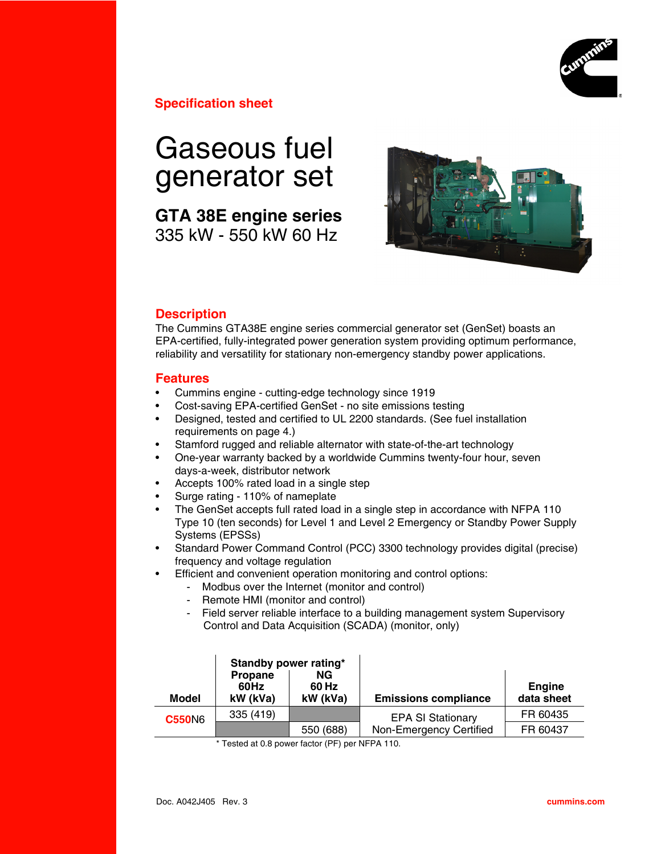

**Specification sheet**

# Gaseous fuel generator set

**GTA 38E engine series** 335 kW - 550 kW 60 Hz



## **Description**

The Cummins GTA38E engine series commercial generator set (GenSet) boasts an EPA-certified, fully-integrated power generation system providing optimum performance, reliability and versatility for stationary non-emergency standby power applications.

## **Features**

- Cummins engine cutting-edge technology since 1919
- Cost-saving EPA-certified GenSet no site emissions testing
- Designed, tested and certified to UL 2200 standards. (See fuel installation requirements on page 4.)
- Stamford rugged and reliable alternator with state-of-the-art technology
- One-year warranty backed by a worldwide Cummins twenty-four hour, seven days-a-week, distributor network
- Accepts 100% rated load in a single step
- Surge rating 110% of nameplate
- The GenSet accepts full rated load in a single step in accordance with NFPA 110 Type 10 (ten seconds) for Level 1 and Level 2 Emergency or Standby Power Supply Systems (EPSSs)
- Standard Power Command Control (PCC) 3300 technology provides digital (precise) frequency and voltage regulation
- Efficient and convenient operation monitoring and control options:
	- Modbus over the Internet (monitor and control)
	- Remote HMI (monitor and control)
	- Field server reliable interface to a building management system Supervisory Control and Data Acquisition (SCADA) (monitor, only)

| Model         | Standby power rating*<br>Propane<br>60Hz<br>kW (kVa) | NG.<br>60 Hz<br>kW (kVa) | <b>Emissions compliance</b> | <b>Engine</b><br>data sheet |
|---------------|------------------------------------------------------|--------------------------|-----------------------------|-----------------------------|
| <b>C550N6</b> | 335 (419)                                            |                          | <b>EPA SI Stationary</b>    | FR 60435                    |
|               |                                                      | 550 (688)                | Non-Emergency Certified     | FR 60437                    |

\* Tested at 0.8 power factor (PF) per NFPA 110.

Ι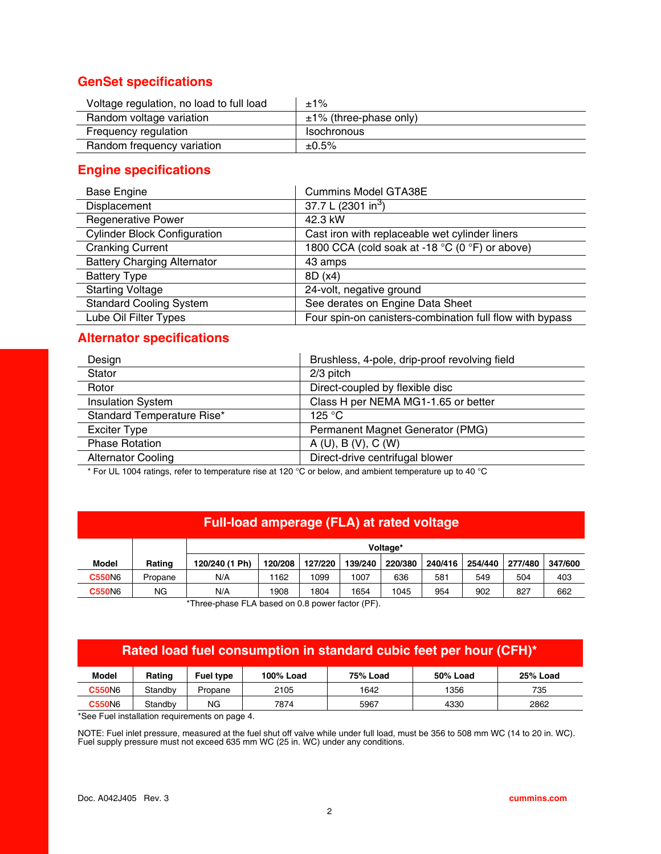## **GenSet specifications**

| Voltage regulation, no load to full load | $±1\%$                      |
|------------------------------------------|-----------------------------|
| Random voltage variation                 | $\pm$ 1% (three-phase only) |
| Frequency regulation                     | <b>Isochronous</b>          |
| Random frequency variation               | $±0.5\%$                    |

# **Engine specifications**

| <b>Base Engine</b>                  | <b>Cummins Model GTA38E</b>                              |
|-------------------------------------|----------------------------------------------------------|
| Displacement                        | 37.7 L (2301 in <sup>3</sup> )                           |
| <b>Regenerative Power</b>           | 42.3 kW                                                  |
| <b>Cylinder Block Configuration</b> | Cast iron with replaceable wet cylinder liners           |
| <b>Cranking Current</b>             | 1800 CCA (cold soak at -18 °C (0 °F) or above)           |
| <b>Battery Charging Alternator</b>  | 43 amps                                                  |
| <b>Battery Type</b>                 | 8D (x4)                                                  |
| <b>Starting Voltage</b>             | 24-volt, negative ground                                 |
| <b>Standard Cooling System</b>      | See derates on Engine Data Sheet                         |
| Lube Oil Filter Types               | Four spin-on canisters-combination full flow with bypass |

## **Alternator specifications**

| Design                     | Brushless, 4-pole, drip-proof revolving field |
|----------------------------|-----------------------------------------------|
| Stator                     | $2/3$ pitch                                   |
| Rotor                      | Direct-coupled by flexible disc               |
| <b>Insulation System</b>   | Class H per NEMA MG1-1.65 or better           |
| Standard Temperature Rise* | 125 $\degree$ C                               |
| <b>Exciter Type</b>        | Permanent Magnet Generator (PMG)              |
| <b>Phase Rotation</b>      | A(U), B(V), C(W)                              |
| <b>Alternator Cooling</b>  | Direct-drive centrifugal blower               |
|                            |                                               |

\* For UL 1004 ratings, refer to temperature rise at 120 °C or below, and ambient temperature up to 40 °C

## **Full-load amperage (FLA) at rated voltage**

|               |         | Voltage*       |         |         |         |         |         |         |         |         |
|---------------|---------|----------------|---------|---------|---------|---------|---------|---------|---------|---------|
| Model         | Rating  | 120/240 (1 Ph) | 120/208 | 127/220 | 139/240 | 220/380 | 240/416 | 254/440 | 277/480 | 347/600 |
| <b>C550N6</b> | Propane | N/A            | 1162    | 1099    | 1007    | 636     | 581     | 549     | 504     | 403     |
| <b>C550N6</b> | ΝG      | N/A            | 1908    | 1804    | 1654    | 1045    | 954     | 902     | 827     | 662     |

\*Three-phase FLA based on 0.8 power factor (PF).

# **Rated load fuel consumption in standard cubic feet per hour (CFH)\***

| <b>Model</b>  | Ratinɑ  | <b>Fuel type</b> | 100% Load | <b>75% Load</b> | 50% Load | 25% Load |
|---------------|---------|------------------|-----------|-----------------|----------|----------|
| <b>C550N6</b> | Standbv | Propane          | 2105      | 1642            | 1356     | 735      |
| <b>C550N6</b> | Standbv | ΝG               | 7874      | 5967            | 4330     | 2862     |

\*See Fuel installation requirements on page 4.

NOTE: Fuel inlet pressure, measured at the fuel shut off valve while under full load, must be 356 to 508 mm WC (14 to 20 in. WC). Fuel supply pressure must not exceed 635 mm WC (25 in. WC) under any conditions.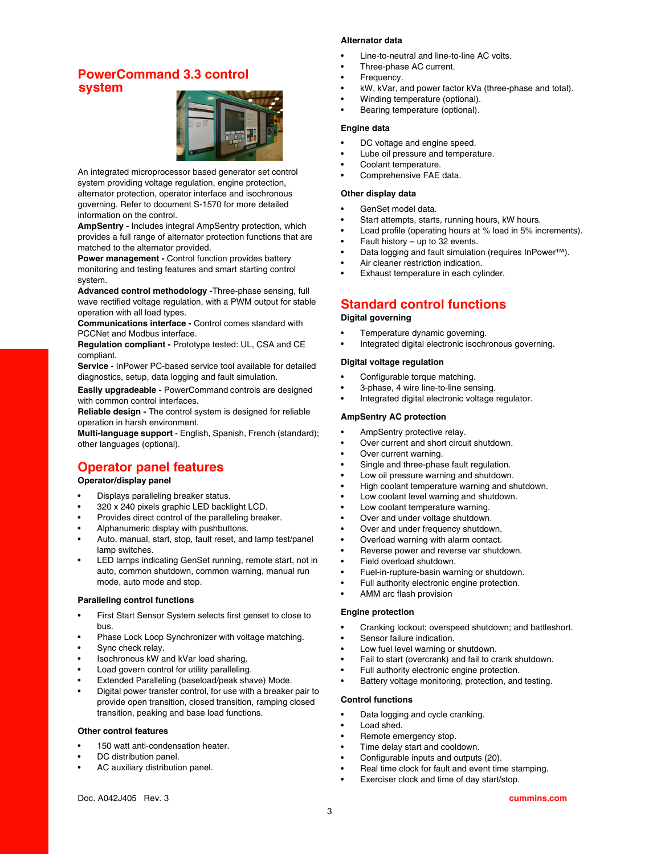## **PowerCommand 3.3 control system**



An integrated microprocessor based generator set control system providing voltage regulation, engine protection, alternator protection, operator interface and isochronous governing. Refer to document S-1570 for more detailed information on the control.

**AmpSentry -** Includes integral AmpSentry protection, which provides a full range of alternator protection functions that are matched to the alternator provided.

**Power management -** Control function provides battery monitoring and testing features and smart starting control system.

**Advanced control methodology -**Three-phase sensing, full wave rectified voltage regulation, with a PWM output for stable operation with all load types.

**Communications interface -** Control comes standard with PCCNet and Modbus interface.

**Regulation compliant -** Prototype tested: UL, CSA and CE compliant.

**Service -** InPower PC-based service tool available for detailed diagnostics, setup, data logging and fault simulation.

**Easily upgradeable -** PowerCommand controls are designed with common control interfaces.

**Reliable design -** The control system is designed for reliable operation in harsh environment.

**Multi-language support** - English, Spanish, French (standard); other languages (optional).

# **Operator panel features**

#### **Operator/display panel**

- Displays paralleling breaker status.
- 320 x 240 pixels graphic LED backlight LCD.
- Provides direct control of the paralleling breaker.
- Alphanumeric display with pushbuttons.
- Auto, manual, start, stop, fault reset, and lamp test/panel lamp switches.
- LED lamps indicating GenSet running, remote start, not in auto, common shutdown, common warning, manual run mode, auto mode and stop.

#### **Paralleling control functions**

- First Start Sensor System selects first genset to close to bus.
- Phase Lock Loop Synchronizer with voltage matching.
- Sync check relay.
- Isochronous kW and kVar load sharing.
- Load govern control for utility paralleling.
- Extended Paralleling (baseload/peak shave) Mode.
- Digital power transfer control, for use with a breaker pair to provide open transition, closed transition, ramping closed transition, peaking and base load functions.

#### **Other control features**

- 150 watt anti-condensation heater.
- DC distribution panel.
- AC auxiliary distribution panel.

#### **Alternator data**

- Line-to-neutral and line-to-line AC volts.
- Three-phase AC current.
- Frequency.
- kW, kVar, and power factor kVa (three-phase and total).
- Winding temperature (optional).
- Bearing temperature (optional).

#### **Engine data**

- DC voltage and engine speed.
- Lube oil pressure and temperature.
- Coolant temperature.
- Comprehensive FAE data.

#### **Other display data**

- GenSet model data.
- Start attempts, starts, running hours, kW hours.
- Load profile (operating hours at % load in 5% increments).
- Fault history  $-$  up to 32 events.
- Data logging and fault simulation (requires InPower™).
- Air cleaner restriction indication.
- Exhaust temperature in each cylinder.

## **Standard control functions**

#### **Digital governing**

- Temperature dynamic governing.
- Integrated digital electronic isochronous governing.

#### **Digital voltage regulation**

- Configurable torque matching.
- 3-phase, 4 wire line-to-line sensing.
- Integrated digital electronic voltage regulator.

#### **AmpSentry AC protection**

- AmpSentry protective relay.
- Over current and short circuit shutdown.
- Over current warning.
- Single and three-phase fault regulation.
- Low oil pressure warning and shutdown.
- High coolant temperature warning and shutdown.
- Low coolant level warning and shutdown.
- Low coolant temperature warning.
- Over and under voltage shutdown.
- Over and under frequency shutdown.
- Overload warning with alarm contact.
- Reverse power and reverse var shutdown.
- Field overload shutdown.
- Fuel-in-rupture-basin warning or shutdown.
- Full authority electronic engine protection.
- AMM arc flash provision

#### **Engine protection**

- Cranking lockout; overspeed shutdown; and battleshort.
- Sensor failure indication.
- Low fuel level warning or shutdown.
- Fail to start (overcrank) and fail to crank shutdown.
- Full authority electronic engine protection.
- Battery voltage monitoring, protection, and testing.

#### **Control functions**

- Data logging and cycle cranking.
- Load shed.
- Remote emergency stop.
- Time delay start and cooldown.
- Configurable inputs and outputs (20).
- Real time clock for fault and event time stamping.
- Exerciser clock and time of day start/stop.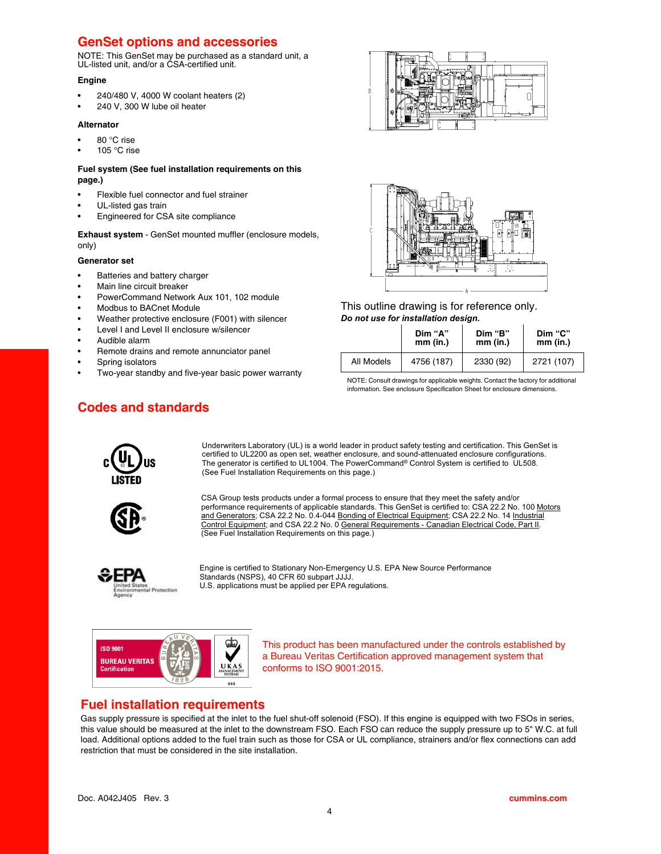## **GenSet options and accessories**

NOTE: This GenSet may be purchased as a standard unit, a UL-listed unit, and/or a CSA-certified unit.

#### **Engine**

- 240/480 V, 4000 W coolant heaters (2)
- 240 V, 300 W lube oil heater

#### **Alternator**

- 80 °C rise
- 105 °C rise

#### **Fuel system (See fuel installation requirements on this page.)**

- Flexible fuel connector and fuel strainer
- UL-listed gas train
- Engineered for CSA site compliance

**Exhaust system** - GenSet mounted muffler (enclosure models, only)

#### **Generator set**

- Batteries and battery charger
- Main line circuit breaker
- PowerCommand Network Aux 101, 102 module
- Modbus to BACnet Module
- Weather protective enclosure (F001) with silencer
- Level I and Level II enclosure w/silencer
- Audible alarm
- Remote drains and remote annunciator panel
- Spring isolators
- Two-year standby and five-year basic power warranty





This outline drawing is for reference only. *Do not use for installation design.*

| Dim "A"    |            | Dim "B"   | Dim "C"    |  |  |
|------------|------------|-----------|------------|--|--|
| mm (in.)   |            | mm (in.)  | mm (in.)   |  |  |
| All Models | 4756 (187) | 2330 (92) | 2721 (107) |  |  |

NOTE: Consult drawings for applicable weights. Contact the factory for additional information. See enclosure Specification Sheet for enclosure dimensions.

# **Codes and standards**



Underwriters Laboratory (UL) is a world leader in product safety testing and certification. This GenSet is certified to UL2200 as open set, weather enclosure, and sound-attenuated enclosure configurations. The generator is certified to UL1004. The PowerCommand® Control System is certified to UL508. (See Fuel Installation Requirements on this page.)



CSA Group tests products under a formal process to ensure that they meet the safety and/or performance requirements of applicable standards. This GenSet is certified to: CSA 22.2 No. 100 Motors and Generators; CSA 22.2 No. 0.4-044 Bonding of Electrical Equipment; CSA 22.2 No. 14 Industrial Control Equipment; and CSA 22.2 No. 0 General Requirements - Canadian Electrical Code, Part II. (See Fuel Installation Requirements on this page.)



Engine is certified to Stationary Non-Emergency U.S. EPA New Source Performance Standards (NSPS), 40 CFR 60 subpart JJJJ. U.S. applications must be applied per EPA regulations.



This product has been manufactured under the controls established by a Bureau Veritas Certification approved management system that conforms to ISO 9001:2015.

## **Fuel installation requirements**

Gas supply pressure is specified at the inlet to the fuel shut-off solenoid (FSO). If this engine is equipped with two FSOs in series, this value should be measured at the inlet to the downstream FSO. Each FSO can reduce the supply pressure up to 5" W.C. at full load. Additional options added to the fuel train such as those for CSA or UL compliance, strainers and/or flex connections can add restriction that must be considered in the site installation.